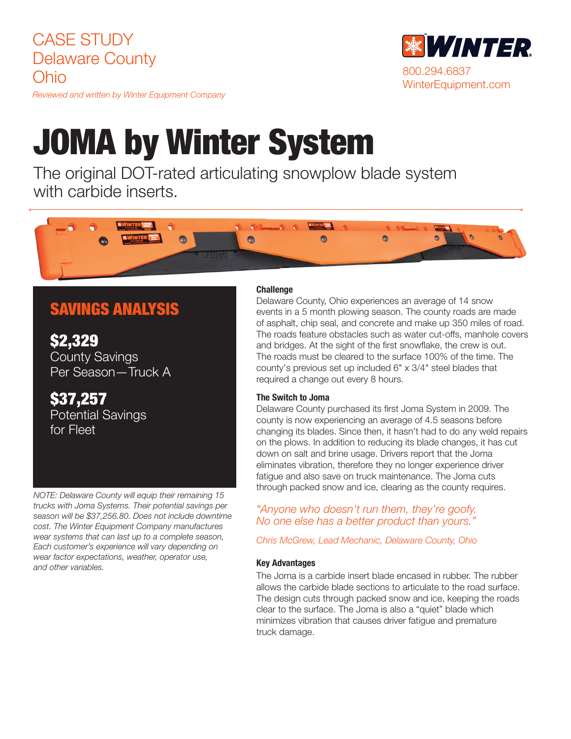CASE STUDY Delaware County Ohio

*Reviewed and written by Winter Equipment Company*

# JOMA by Winter System

The original DOT-rated articulating snowplow blade system with carbide inserts.



# SAVINGS ANALYSIS

\$2,329 County Savings Per Season—Truck A

\$37,257 Potential Savings for Fleet

*NOTE: Delaware County will equip their remaining 15 trucks with Joma Systems. Their potential savings per season will be \$37,256.80. Does not include downtime cost. The Winter Equipment Company manufactures wear systems that can last up to a complete season, Each customer's experience will vary depending on wear factor expectations, weather, operator use, and other variables.* 

#### **Challenge**

Delaware County, Ohio experiences an average of 14 snow events in a 5 month plowing season. The county roads are made of asphalt, chip seal, and concrete and make up 350 miles of road. The roads feature obstacles such as water cut-offs, manhole covers and bridges. At the sight of the first snowflake, the crew is out. The roads must be cleared to the surface 100% of the time. The county's previous set up included 6" x 3/4" steel blades that required a change out every 8 hours.

#### The Switch to Joma

Delaware County purchased its first Joma System in 2009. The county is now experiencing an average of 4.5 seasons before changing its blades. Since then, it hasn't had to do any weld repairs on the plows. In addition to reducing its blade changes, it has cut down on salt and brine usage. Drivers report that the Joma eliminates vibration, therefore they no longer experience driver fatigue and also save on truck maintenance. The Joma cuts through packed snow and ice, clearing as the county requires.

### *"Anyone who doesn't run them, they're goofy. No one else has a better product than yours."*

*Chris McGrew, Lead Mechanic, Delaware County, Ohio*

#### Key Advantages

The Joma is a carbide insert blade encased in rubber. The rubber allows the carbide blade sections to articulate to the road surface. The design cuts through packed snow and ice, keeping the roads clear to the surface. The Joma is also a "quiet" blade which minimizes vibration that causes driver fatigue and premature truck damage.